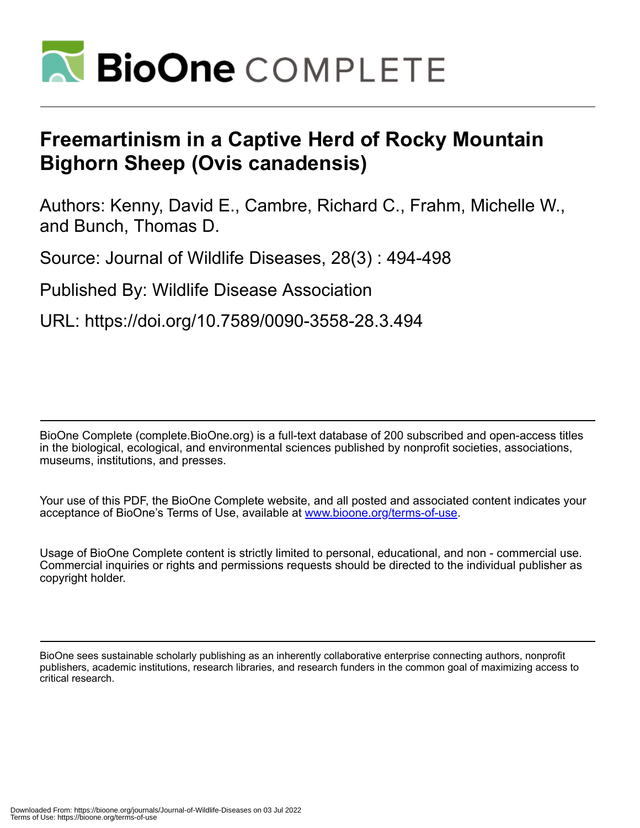

## **Freemartinism in a Captive Herd of Rocky Mountain Bighorn Sheep (Ovis canadensis)**

Authors: Kenny, David E., Cambre, Richard C., Frahm, Michelle W., and Bunch, Thomas D.

Source: Journal of Wildlife Diseases, 28(3) : 494-498

Published By: Wildlife Disease Association

URL: https://doi.org/10.7589/0090-3558-28.3.494

BioOne Complete (complete.BioOne.org) is a full-text database of 200 subscribed and open-access titles in the biological, ecological, and environmental sciences published by nonprofit societies, associations, museums, institutions, and presses.

Your use of this PDF, the BioOne Complete website, and all posted and associated content indicates your acceptance of BioOne's Terms of Use, available at www.bioone.org/terms-of-use.

Usage of BioOne Complete content is strictly limited to personal, educational, and non - commercial use. Commercial inquiries or rights and permissions requests should be directed to the individual publisher as copyright holder.

BioOne sees sustainable scholarly publishing as an inherently collaborative enterprise connecting authors, nonprofit publishers, academic institutions, research libraries, and research funders in the common goal of maximizing access to critical research.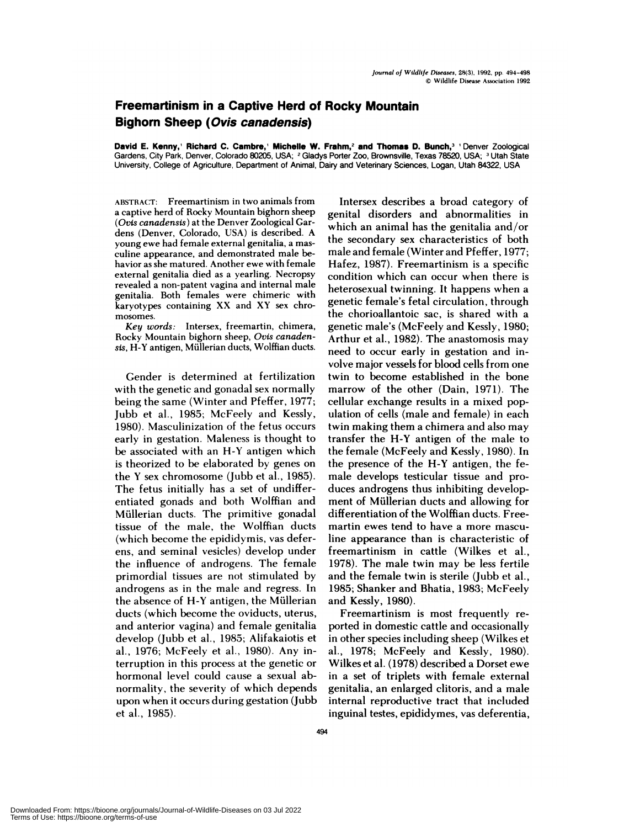## **Freemartinism in a Captive Herd of Rocky Mountain Bighorn Sheep (Ovis canadensis)**

**David E. Kenny,' Richard C. Cambre,' Michelle W. Frahm,2 and Thomas D. Bunch,3** 'Denver Zoological Gardens, City Park, Denver, Colorado 80205, USA; 2Gladys Porter **Zoo,** Brownsville, Texas 78520, USA; 3Utah State University, College of Agriculture, Department of Animal, Dairy and Veterinary Sciences, Logan, Utah 84322, USA

ABSTRACT: Freemartinism in two animals from a captive herd of Rocky Mountain bighorn sheep *(Ovis canadensis)* at the Denver Zoological Gardens (Denver, Colorado, USA) is described. A young ewe had female external genitalia, a mas culine appearance, and demonstrated male behavior as she matured. Another ewe with female external genitalia died as a yearling. Necropsy revealed a non-patent vagina and internal male genitalia. Both females were chimeric with karyotypes containing XX and XY sex chro mosomes.

*Key words:* Intersex, freemartin, chimera, Rocky Mountain bighorn sheep, *Ovis canaden*sis, H-Y antigen, Müllerian ducts, Wolffian ducts.

Gender is determined at fertilization with the genetic and gonadal sex normally being the same (Winter and Pfeffer, 1977; Jubb et al., 1985; McFeely and Kessly, 1980). Masculinization of the fetus occurs early in gestation. Maleness is thought to be associated with an H-Y antigen which is theorized to be elaborated by genes on the Y sex chromosome (Jubb et a!., 1985). The fetus initially has a set of undifferentiated gonads and both Wolffian and Müllerian ducts. The primitive gonadal tissue of the male, the Wolffian ducts (which become the epididymis, vas deferens, and seminal vesicles) develop under the influence of androgens. The female primordial tissues are not stimulated by androgens as in the male and regress. In the absence of  $H-Y$  antigen, the Müllerian ducts (which become the oviducts, uterus, and anterior vagina) and female genitalia develop (Jubb et al., 1985; Alifakaiotis et a!., 1976; McFeely et a!., 1980). Any interruption in this process at the genetic or hormonal level could cause a sexual abnormality, the severity of which depends upon when it occurs during gestation (Jubb et al., 1985).

Intersex describes a broad category of genital disorders and abnormalities in which an animal has the genitalia and/or the secondary sex characteristics of both male and female (Winter and Pfeffer, 1977; Hafez, 1987). Freemartinism is a specific condition which can occur when there is heterosexual twinning. It happens when a genetic female's fetal circulation, through the chorioallantoic sac, is shared with a genetic male's (McFeely and Kessly, 1980; Arthur et al., 1982). The anastomosis may need to occur early in gestation and involve major vessels for blood cells from one twin to become established in the bone marrow of the other (Dam, 1971). The cellular exchange results in a mixed population of cells (male and female) in each twin making them a chimera and also may transfer the H-Y antigen of the male to the female (McFeely and Kessly, 1980). In the presence of the H-Y antigen, the female develops testicular tissue and produces androgens thus inhibiting development of Müllerian ducts and allowing for differentiation of the Wolffian ducts. Freemartin ewes tend to have a more masculine appearance than is characteristic of freemartinism in cattle (Wilkes et al., 1978). The male twin may be less fertile and the female twin is sterile (Jubb et al., 1985; Shanker and Bhatia, 1983; McFeely and Kessly, 1980).

Freemartinism is most frequently re ported in domestic cattle and occasionally in other species including sheep (Wilkes et a!., 1978; McFeely and Kessly, 1980). Wilkes et a!. (1978) described a Dorset ewe in a set of triplets with female external genitalia, an enlarged clitoris, and a male internal reproductive tract that included inguina! testes, epididymes, vas deferentia,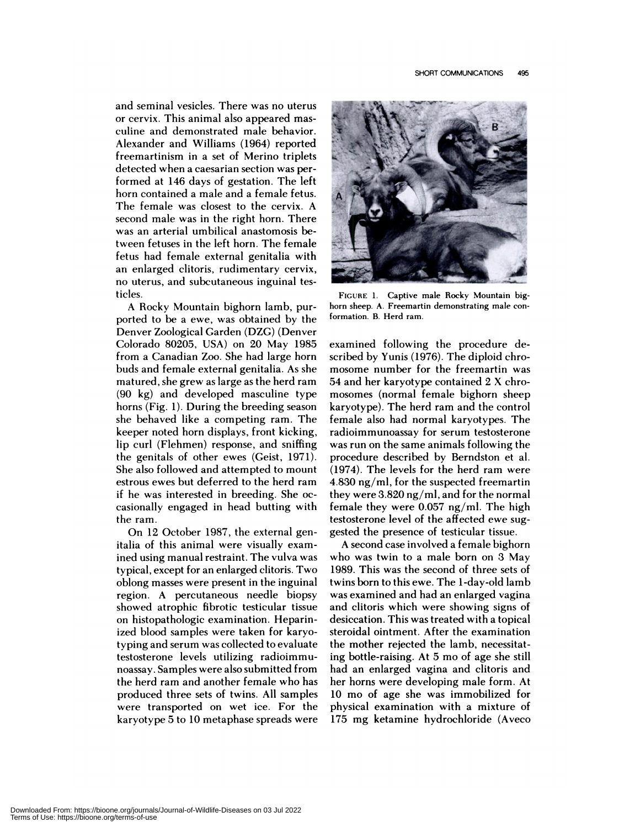and seminal vesicles. There was no uterus or cervix. This animal also appeared mas culine and demonstrated male behavior. Alexander and Williams (1964) reported freemartinism in a set of Merino triplets detected when a caesarian section was performed at 146 days of gestation. The left horn contained a male and a female fetus. The female was closest to the cervix. A second male was in the right horn. There was an arterial umbilical anastomosis between fetuses in the left horn. The female fetus had female external genitalia with an enlarged clitoris, rudimentary cervix, no uterus, and subcutaneous inguinal testicles.

A Rocky Mountain bighorn lamb, purported to be a ewe, was obtained by the Denver Zoological Garden (DZG) (Denver Colorado 80205, USA) on 20 May 1985 from a Canadian Zoo. She had large horn buds and female external genitalia. As she matured, she grew as large as the herd ram (90 kg) and developed masculine type horns (Fig. 1). During the breeding season she behaved like a competing ram. The keeper noted horn displays, front kicking, lip curl (Flehmen) response, and sniffing the genitals of other ewes (Geist, 1971). She also followed and attempted to mount estrous ewes but deferred to the herd ram if he was interested in breeding. She oc casionally engaged in head butting with the ram.

On 12 October 1987, the external genitalia of this animal were visually examined using manual restraint. The vulva was typical, except for an enlarged clitoris. Two oblong masses were present in the inguinal region. A percutaneous needle biopsy showed atrophic fibrotic testicular tissue on histopathologic examination. Heparinized blood samples were taken for karyotyping and serum was collected to evaluate testosterone levels utilizing radioim mu-noassay. Samples were also submitted from the herd ram and another female who has produced three sets of twins. All samples were transported on wet ice. For the karyotype 5 to 10 metaphase spreads were



FIGURE 1. Captive male Rocky Mountain big horn sheep. A. Freemartin demonstrating male conformation. B. Herd ram.

examined following the procedure described by Yunis (1976). The diploid chro mosome number for the freemartin was 54 and her karyotype contained 2 X chro mosomes (normal female bighorn sheep karyotype). The herd ram and the control female also had normal karyotypes. The radioimmunoassay for serum testosterone was run on the same animals following the procedure described by Berndston et a!. (1974). The levels for the herd ram were 4.830 ng/ml, for the suspected freemartin they were 3.820 ng/ml, and for the normal female they were 0.057 ng/ml. The high testosterone level of the affected ewe suggested the presence of testicular tissue.

A second case involved a female bighorn who was twin to a male born on 3 May 1989. This was the second of three sets of twins born to this ewe. The 1-day-old lamb was examined and had an enlarged vagina and clitoris which were showing signs of desiccation. This was treated with a topical steroidal ointment. After the examination the mother rejected the lamb, necessitating bottle-raising. At 5 mo of age she still had an enlarged vagina and clitoris and her horns were developing male form. At 10 mo of age she was immobilized for physical examination with a mixture of 175 mg ketamine hydrochloride (Aveco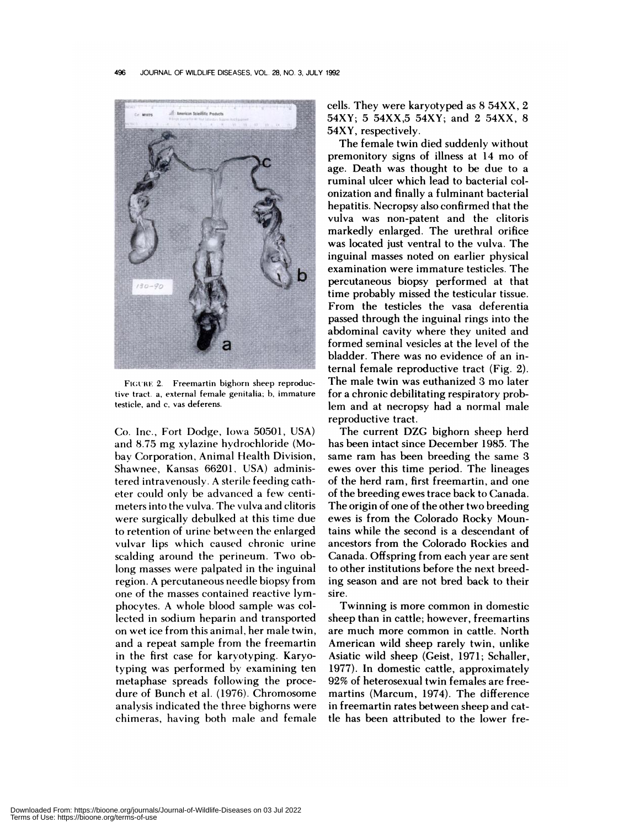

FIGURE 2. Freemartin bighorn sheep reproductive tract. a, external female genitalia; b, immature testicle, and c, vas deferens.

Co. Inc., Fort Dodge, Iowa 50501, USA) and 8.75 mg xylazine hydrochloride (Mobay Corporation, Animal Health Division, Shawnee, Kansas 66201, USA) administered intravenously. A sterile feeding catheter could only be advanced a few centi meters into the vulva. The vulva and clitoris were surgically debulked at this time due to retention of urine between the enlarged vulvar lips which caused chronic urine scalding around the perineum. Two oblong masses were palpated in the inguinal region. A percutaneous needle biopsy from one of the masses contained reactive lymphocytes. A whole blood sample was collected in sodium heparin and transported on wet ice from this animal, her male twin, and a repeat sample from the freemartin in the first case for karyotyping. Karyotyping was performed by examining ten metaphase spreads following the procedure of Bunch et a!. (1976). Chromosome analysis indicated the three bighorns were chimeras, having both male and female cells. They were karyotyped as 8 54XX, 2 54XY; 5 54XX,5 54XY; and 2 54XX, 8 54XY, respectively.

The female twin died suddenly without premonitory signs of illness at 14 mo of age. Death was thought to be due to a ruminal ulcer which lead to bacterial co! onization and finally a fulminant bacteria! hepatitis. Necropsy also confirmed that the vulva was non-patent and the clitoris markedly enlarged. The urethral orifice was located just ventral to the vulva. The inguinal masses noted on earlier physical examination were immature testicles. The percutaneous biopsy performed at that time probably missed the testicular tissue. From the testicles the vasa deferentia passed through the inguinal rings into the abdominal cavity where they united and formed seminal vesicles at the level of the bladder. There was no evidence of an internal female reproductive tract (Fig. 2). The male twin was euthanized 3 mo later for a chronic debilitating respiratory problem and at necropsy had a normal male reproductive tract.

The current DZG bighorn sheep herd has been intact since December 1985. The same ram has been breeding the same 3 ewes over this time period. The lineages of the herd ram, first freemartin, and one of the breeding ewes trace back to Canada. The origin of one of the other two breeding ewes is from the Colorado Rocky Mountains while the second is a descendant of ancestors from the Colorado Rockies and Canada. Offspring from each year are sent to other institutions before the next breeding season and are not bred back to their sire.

Twinning is more common in domestic sheep than in cattle; however, freemartins are much more common in cattle. North American wild sheep rarely twin, unlike Asiatic wild sheep (Geist, 1971; Schaller, 1977). In domestic cattle, approximately 92% of heterosexual twin females are freemartins (Marcum, 1974). The difference in freemartin rates between sheep and cattle has been attributed to the lower fre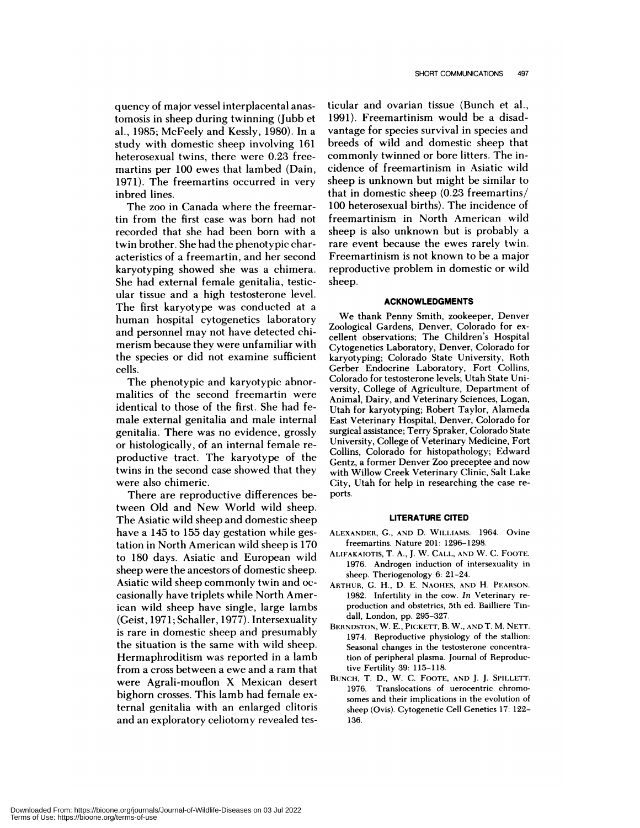quency of major vessel interplacental anastomosis in sheep during twinning (Jubb et a!., 1985; McFeely and Kessly, 1980). In a study with domestic sheep involving 161 heterosexual twins, there were 0.23 freemartins per 100 ewes that lambed (Dam, 1971). The freemartins occurred in very inbred lines.

The zoo in Canada where the freemartin from the first case was born had not recorded that she had been born with a twin brother. She had the phenotypic characteristics of a freemartin, and her second karyotyping showed she was a chimera. She had external female genitalia, testicular tissue and a high testosterone level. The first karyotype was conducted at a human hospital cytogenetics laboratory and personnel may not have detected chimerism because they were unfamiliar with the species or did not examine sufficient cells.

The phenotypic and karyotypic abnormalities of the second freemartin were identical to those of the first. She had female external genitalia and male internal genitalia. There was no evidence, grossly or histologically, of an internal female re productive tract. The karyotype of the twins in the second case showed that they were also chimeric.

There are reproductive differences between Old and New World wild sheep. The Asiatic wild sheep and domestic sheep have a 145 to 155 day gestation while gestation in North American wild sheep is 170 to 180 days. Asiatic and European wild sheep were the ancestors of domestic sheep. Asiatic wild sheep commonly twin and oc casionally have triplets while North American wild sheep have single, large lambs (Geist, 1971; Schaller, 1977). Intersexuality is rare in domestic sheep and presumably the situation is the same with wild sheep. Hermaphroditism was reported in a lamb from a cross between a ewe and a ram that were Agrali-mouflon X Mexican desert bighorn crosses. This lamb had female external genitalia with an enlarged clitoris and an exploratory celiotomy revealed tes-

ticular and ovarian tissue (Bunch et al., 1991). Freemartinism would be a disadvantage for species survival in species and breeds of wild and domestic sheep that commonly twinned or bore litters. The incidence of freemartinism in Asiatic wild sheep is unknown but might be similar to that in domestic sheep (0.23 freemartins/ 100 heterosexual births). The incidence of freemartinism in North American wild sheep is also unknown but is probably a rare event because the ewes rarely twin. Freemartinism is not known to be a major reproductive problem in domestic or wild sheep.

## **ACKNOWLEDGMENTS**

We thank Penny Smith, zookeeper, Denver Zoological Gardens, Denver, Colorado for ex cellent observations; The Children's Hospital Cytogenetics Laboratory, Denver, Colorado for karyotyping; Colorado State University, Roth Gerber Endocrine Laboratory, Fort Collins, Colorado for testosterone levels; Utah State University, College of Agriculture, Department of Animal, Dairy, and Veterinary Sciences, Logan, Utah for karyotyping; Robert Taylor, Alameda East Veterinary Hospital, Denver, Colorado for surgical assistance; Terry Spraker, Colorado State University, College of Veterinary Medicine, Fort Collins, Colorado for histopathology; Edward Gentz, a former Denver Zoo preceptee and now with Willow Creek Veterinary Clinic, Salt Lake City, Utah for help in researching the case re ports.

## **LITERATURE CITED**

- ALEXANDER, C., AND D. WILI.IAMS. 1964. Ovine freemartins. Nature 201: 1296-1298.
- ALIFAKAIOTIS, T. A., J. W. CALL, AND W. C. FOOTE. 1976. Androgen induction of intersexuality in sheep. Theriogenology 6: 21-24.
- ARTHUR, C. H., D. E. NAOHES, AND H. PEARSON. 1982. Infertility in the cow. *In* Veterinary re production and obstetrics, 5th ed. Bailliere Tin dall, London, pp. 295-327.
- BERNDSTON, W. E., PICKETT, B. W., AND T. M. NETT. 1974. Reproductive physiology of the stallion: Seasonal changes in the testosterone concentration of peripheral plasma. Journal of Reproductive Fertility 39: 115-118.
- BUNCH, T. D., W. C. FOOTE, AND J. J. SPILLETT. 1976. Translocations of uerocentric chromosomes and their implications in the evolution of sheep (Ovis). Cytogenetic Cell Genetics 17: 122- 136.